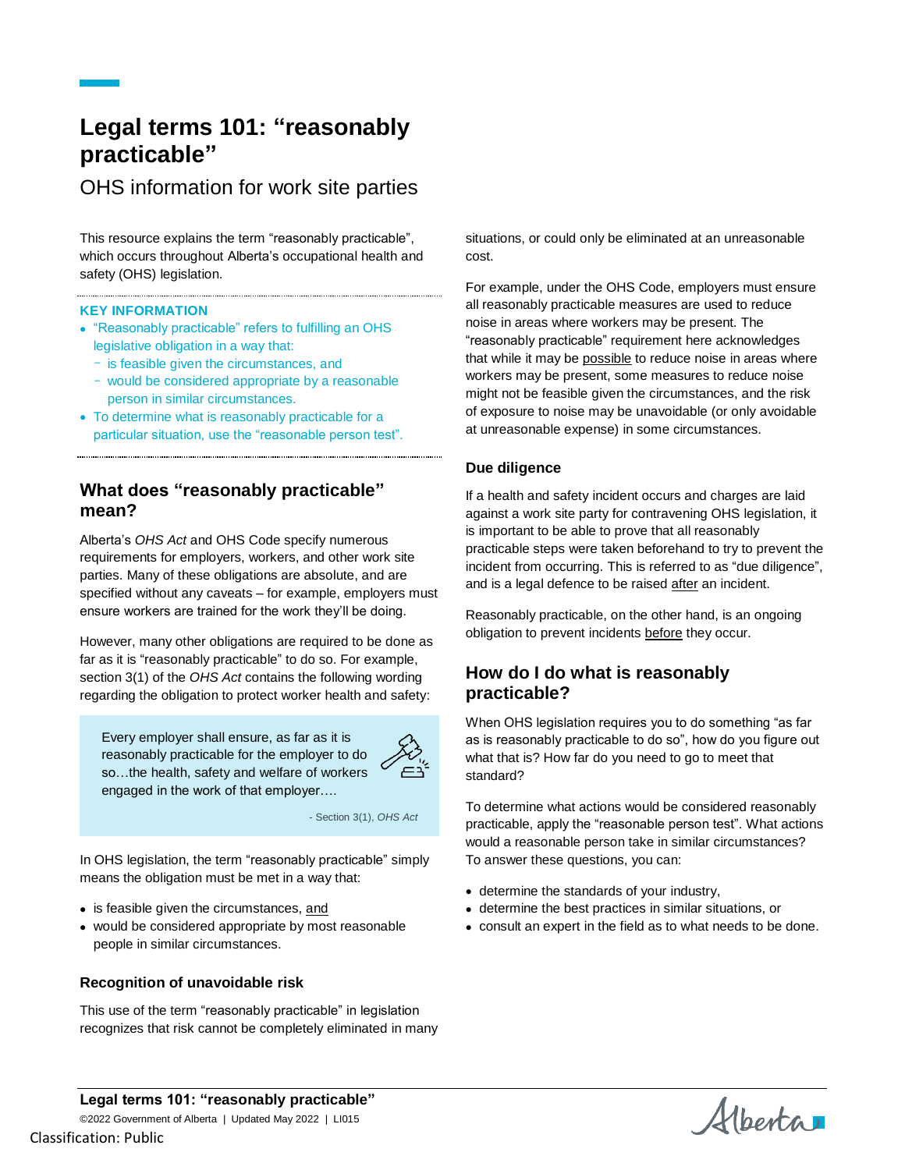# **Legal terms 101: "reasonably practicable"**

OHS information for work site parties

This resource explains the term "reasonably practicable", which occurs throughout Alberta's occupational health and safety (OHS) legislation.

#### **KEY INFORMATION**

- "Reasonably practicable" refers to fulfilling an OHS legislative obligation in a way that:
	- is feasible given the circumstances, and
	- would be considered appropriate by a reasonable person in similar circumstances.
- To determine what is reasonably practicable for a particular situation, use the "reasonable person test".

# **What does "reasonably practicable" mean?**

Alberta's *OHS Act* and OHS Code specify numerous requirements for employers, workers, and other work site parties. Many of these obligations are absolute, and are specified without any caveats – for example, employers must ensure workers are trained for the work they'll be doing.

However, many other obligations are required to be done as far as it is "reasonably practicable" to do so. For example, section 3(1) of the *OHS Act* contains the following wording regarding the obligation to protect worker health and safety:

Every employer shall ensure, as far as it is reasonably practicable for the employer to do so…the health, safety and welfare of workers engaged in the work of that employer….



- Section 3(1), *OHS Act*

In OHS legislation, the term "reasonably practicable" simply means the obligation must be met in a way that:

- is feasible given the circumstances, and
- would be considered appropriate by most reasonable people in similar circumstances.

#### **Recognition of unavoidable risk**

This use of the term "reasonably practicable" in legislation recognizes that risk cannot be completely eliminated in many situations, or could only be eliminated at an unreasonable cost.

For example, under the OHS Code, employers must ensure all reasonably practicable measures are used to reduce noise in areas where workers may be present. The "reasonably practicable" requirement here acknowledges that while it may be possible to reduce noise in areas where workers may be present, some measures to reduce noise might not be feasible given the circumstances, and the risk of exposure to noise may be unavoidable (or only avoidable at unreasonable expense) in some circumstances.

#### **Due diligence**

If a health and safety incident occurs and charges are laid against a work site party for contravening OHS legislation, it is important to be able to prove that all reasonably practicable steps were taken beforehand to try to prevent the incident from occurring. This is referred to as "due diligence", and is a legal defence to be raised after an incident.

Reasonably practicable, on the other hand, is an ongoing obligation to prevent incidents before they occur.

# **How do I do what is reasonably practicable?**

When OHS legislation requires you to do something "as far as is reasonably practicable to do so", how do you figure out what that is? How far do you need to go to meet that standard?

To determine what actions would be considered reasonably practicable, apply the "reasonable person test". What actions would a reasonable person take in similar circumstances? To answer these questions, you can:

- determine the standards of your industry,
- determine the best practices in similar situations, or
- consult an expert in the field as to what needs to be done.

**Legal terms 101: "reasonably practicable"** ©2022 Government of Alberta | Updated May 2022 | LI015

Alberta